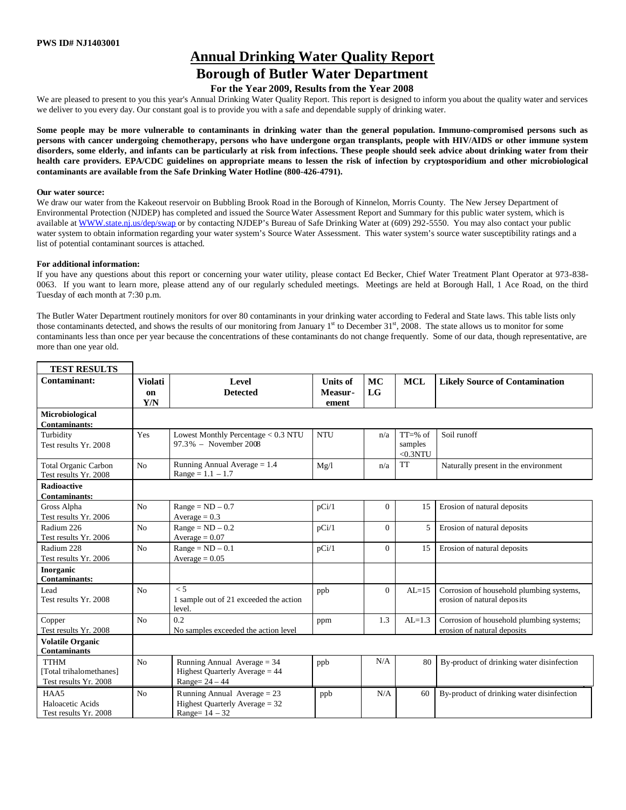# **Annual Drinking Water Quality Report**

## **Borough of Butler Water Department**

### **For the Year 2009, Results from the Year 2008**

We are pleased to present to you this year's Annual Drinking Water Quality Report. This report is designed to inform you about the quality water and services we deliver to you every day. Our constant goal is to provide you with a safe and dependable supply of drinking water.

**Some people may be more vulnerable to contaminants in drinking water than the general population. Immuno-compromised persons such as persons with cancer undergoing chemotherapy, persons who have undergone organ transplants, people with HIV/AIDS or other immune system disorders, some elderly, and infants can be particularly at risk from infections. These people should seek advice about drinking water from their health care providers. EPA/CDC guidelines on appropriate means to lessen the risk of infection by cryptosporidium and other microbiological contaminants are available from the Safe Drinking Water Hotline (800-426-4791).**

#### **Our water source:**

We draw our water from the Kakeout reservoir on Bubbling Brook Road in the Borough of Kinnelon, Morris County. The New Jersey Department of Environmental Protection (NJDEP) has completed and issued the Source Water Assessment Report and Summary for this public water system, which is available at WWW.state.nj.us/dep/swap or by contacting NJDEP's Bureau of Safe Drinking Water at (609) 292-5550. You may also contact your public water system to obtain information regarding your water system's Source Water Assessment. This water system's source water susceptibility ratings and a list of potential contaminant sources is attached.

#### **For additional information:**

If you have any questions about this report or concerning your water utility, please contact Ed Becker, Chief Water Treatment Plant Operator at 973-838- 0063. If you want to learn more, please attend any of our regularly scheduled meetings. Meetings are held at Borough Hall, 1 Ace Road, on the third Tuesday of each month at 7:30 p.m.

The Butler Water Department routinely monitors for over 80 contaminants in your drinking water according to Federal and State laws. This table lists only those contaminants detected, and shows the results of our monitoring from January  $1<sup>st</sup>$  to December 31 $<sup>st</sup>$ , 2008. The state allows us to monitor for some</sup> contaminants less than once per year because the concentrations of these contaminants do not change frequently. Some of our data, though representative, are more than one year old.

| <b>TEST RESULTS</b>                                             |                             |                                                                                     |                                     |                |                                    |                                                                         |
|-----------------------------------------------------------------|-----------------------------|-------------------------------------------------------------------------------------|-------------------------------------|----------------|------------------------------------|-------------------------------------------------------------------------|
| Contaminant:                                                    | <b>Violati</b><br>on<br>Y/N | Level<br><b>Detected</b>                                                            | <b>Units of</b><br>Measur-<br>ement | MC<br>LG       | <b>MCL</b>                         | <b>Likely Source of Contamination</b>                                   |
| Microbiological<br><b>Contaminants:</b>                         |                             |                                                                                     |                                     |                |                                    |                                                                         |
| Turbidity<br>Test results Yr. 2008                              | Yes                         | Lowest Monthly Percentage < 0.3 NTU<br>97.3% - November 2008                        | <b>NTU</b>                          | n/a            | $TT=%$ of<br>samples<br>$<$ 0.3NTU | Soil runoff                                                             |
| <b>Total Organic Carbon</b><br>Test results Yr. 2008            | N <sub>o</sub>              | Running Annual Average $= 1.4$<br>$Range = 1.1 - 1.7$                               | Mg/l                                | n/a            | <b>TT</b>                          | Naturally present in the environment                                    |
| <b>Radioactive</b><br><b>Contaminants:</b>                      |                             |                                                                                     |                                     |                |                                    |                                                                         |
| Gross Alpha<br>Test results Yr. 2006                            | N <sub>o</sub>              | $Range = ND - 0.7$<br>Average = $0.3$                                               | pCi/1                               | $\overline{0}$ | 15                                 | Erosion of natural deposits                                             |
| Radium 226<br>Test results Yr. 2006                             | N <sub>o</sub>              | $Range = ND - 0.2$<br>$Average = 0.07$                                              | pCi/1                               | $\Omega$       | 5                                  | Erosion of natural deposits                                             |
| Radium 228<br>Test results Yr. 2006                             | N <sub>o</sub>              | $Range = ND - 0.1$<br>Average $= 0.05$                                              | pCi/1                               | $\Omega$       | 15                                 | Erosion of natural deposits                                             |
| Inorganic<br><b>Contaminants:</b>                               |                             |                                                                                     |                                     |                |                                    |                                                                         |
| Lead<br>Test results Yr. 2008                                   | N <sub>o</sub>              | $\leq 5$<br>1 sample out of 21 exceeded the action<br>level.                        | ppb                                 | $\Omega$       | $AL=15$                            | Corrosion of household plumbing systems,<br>erosion of natural deposits |
| Copper<br>Test results Yr. 2008                                 | N <sub>o</sub>              | 0.2<br>No samples exceeded the action level                                         | ppm                                 | 1.3            | $AL=1.3$                           | Corrosion of household plumbing systems;<br>erosion of natural deposits |
| <b>Volatile Organic</b><br><b>Contaminants</b>                  |                             |                                                                                     |                                     |                |                                    |                                                                         |
| <b>TTHM</b><br>[Total trihalomethanes]<br>Test results Yr. 2008 | N <sub>o</sub>              | Running Annual Average = $34$<br>Highest Quarterly Average = 44<br>Range= $24-44$   | ppb                                 | N/A            | 80                                 | By-product of drinking water disinfection                               |
| HAA5<br>Haloacetic Acids<br>Test results Yr. 2008               | N <sub>o</sub>              | Running Annual Average = $23$<br>Highest Quarterly Average = 32<br>Range= $14 - 32$ | ppb                                 | N/A            | 60                                 | By-product of drinking water disinfection                               |